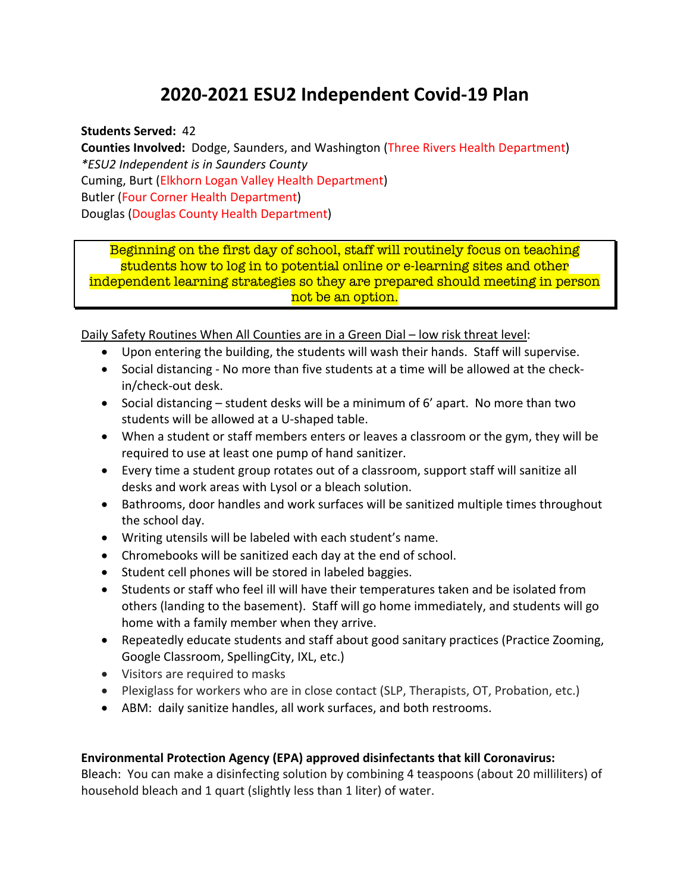## **2020-2021 ESU2 Independent Covid-19 Plan**

**Students Served:** 42

**Counties Involved:** Dodge, Saunders, and Washington (Three Rivers Health Department) *\*ESU2 Independent is in Saunders County* Cuming, Burt (Elkhorn Logan Valley Health Department) Butler (Four Corner Health Department) Douglas (Douglas County Health Department)

Beginning on the first day of school, staff will routinely focus on teaching students how to log in to potential online or e-learning sites and other independent learning strategies so they are prepared should meeting in person not be an option.

Daily Safety Routines When All Counties are in a Green Dial – low risk threat level:

- Upon entering the building, the students will wash their hands. Staff will supervise.
- Social distancing No more than five students at a time will be allowed at the checkin/check-out desk.
- Social distancing student desks will be a minimum of 6' apart. No more than two students will be allowed at a U-shaped table.
- When a student or staff members enters or leaves a classroom or the gym, they will be required to use at least one pump of hand sanitizer.
- Every time a student group rotates out of a classroom, support staff will sanitize all desks and work areas with Lysol or a bleach solution.
- Bathrooms, door handles and work surfaces will be sanitized multiple times throughout the school day.
- Writing utensils will be labeled with each student's name.
- Chromebooks will be sanitized each day at the end of school.
- Student cell phones will be stored in labeled baggies.
- Students or staff who feel ill will have their temperatures taken and be isolated from others (landing to the basement). Staff will go home immediately, and students will go home with a family member when they arrive.
- Repeatedly educate students and staff about good sanitary practices (Practice Zooming, Google Classroom, SpellingCity, IXL, etc.)
- Visitors are required to masks
- Plexiglass for workers who are in close contact (SLP, Therapists, OT, Probation, etc.)
- ABM: daily sanitize handles, all work surfaces, and both restrooms.

## **Environmental Protection Agency (EPA) approved disinfectants that kill Coronavirus:**

Bleach: You can make a disinfecting solution by combining 4 teaspoons (about 20 milliliters) of household bleach and 1 quart (slightly less than 1 liter) of water.